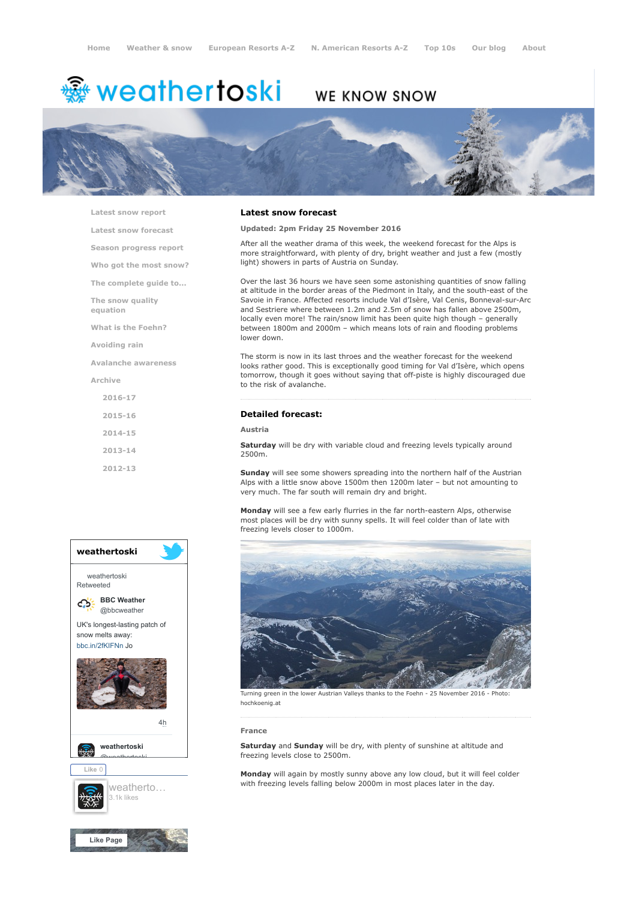# <del>鑾</del> weathertoski

# WE KNOW SNOW



[Latest snow report](https://www.weathertoski.co.uk/weather-snow/latest-snow-report/)

[Latest snow forecast](https://www.weathertoski.co.uk/weather-snow/latest-snow-forecast/)

[Season progress report](https://www.weathertoski.co.uk/weather-snow/season-progress-report/)

[Who got the most snow?](https://www.weathertoski.co.uk/weather-snow/who-got-the-most-snow/)

[The complete guide to...](https://www.weathertoski.co.uk/weather-snow/the-complete-guide-to/)

[The snow quality](https://www.weathertoski.co.uk/weather-snow/the-snow-quality-equation/)

[What is the Foehn?](https://www.weathertoski.co.uk/weather-snow/what-is-the-foehn/)

[Avoiding rain](https://www.weathertoski.co.uk/weather-snow/avoiding-rain/)

equation

[Avalanche awareness](https://www.weathertoski.co.uk/weather-snow/avalanche-awareness/)

[Archive](https://www.weathertoski.co.uk/weather-snow/archive/)

- [2016-17](https://www.weathertoski.co.uk/weather-snow/archive/2016-17/) [2015-16](https://www.weathertoski.co.uk/weather-snow/archive/2015-16/) [2014-15](https://www.weathertoski.co.uk/weather-snow/archive/2014-15/)
- [2013-14](https://www.weathertoski.co.uk/weather-snow/archive/2013-14/)

[2012-13](https://www.weathertoski.co.uk/weather-snow/archive/2012-13/)



# Latest snow forecast

# Updated: 2pm Friday 25 November 2016

After all the weather drama of this week, the weekend forecast for the Alps is more straightforward, with plenty of dry, bright weather and just a few (mostly light) showers in parts of Austria on Sunday.

Over the last 36 hours we have seen some astonishing quantities of snow falling at altitude in the border areas of the Piedmont in Italy, and the south-east of the Savoie in France. Affected resorts include Val d'Isère, Val Cenis, Bonneval-sur-Arc and Sestriere where between 1.2m and 2.5m of snow has fallen above 2500m, locally even more! The rain/snow limit has been quite high though – generally between 1800m and 2000m – which means lots of rain and flooding problems lower down.

The storm is now in its last throes and the weather forecast for the weekend looks rather good. This is exceptionally good timing for Val d'Isère, which opens tomorrow, though it goes without saying that off-piste is highly discouraged due to the risk of avalanche.

# Detailed forecast:

# Austria

Saturday will be dry with variable cloud and freezing levels typically around 2500m.

Sunday will see some showers spreading into the northern half of the Austrian Alps with a little snow above 1500m then 1200m later – but not amounting to very much. The far south will remain dry and bright.

**Monday** will see a few early flurries in the far north-eastern Alps, otherwise most places will be dry with sunny spells. It will feel colder than of late with freezing levels closer to 1000m.



hochkoenig.at

#### France

Saturday and Sunday will be dry, with plenty of sunshine at altitude and freezing levels close to 2500m.

Monday will again by mostly sunny above any low cloud, but it will feel colder with freezing levels falling below 2000m in most places later in the day.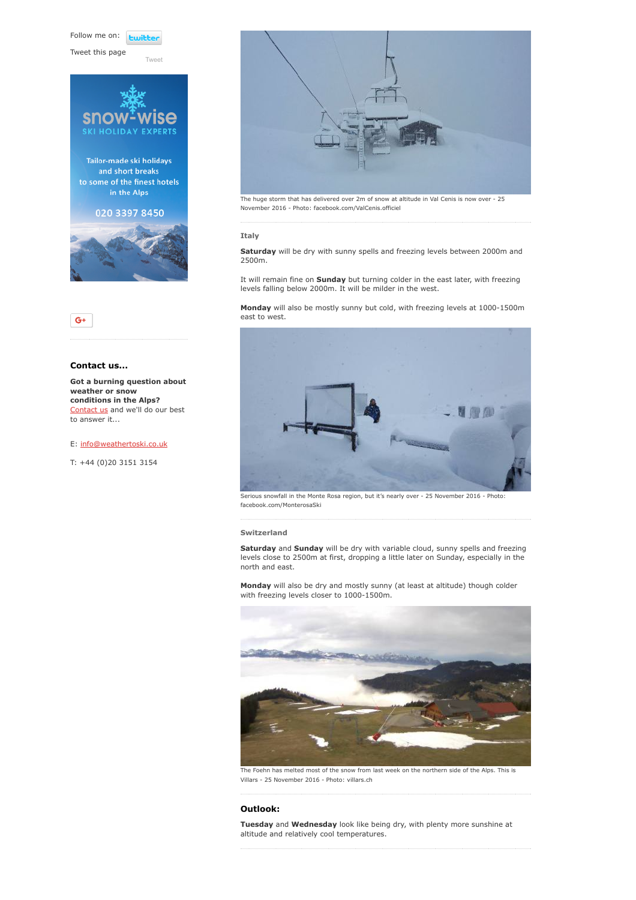Follow me on: **Luitt** 

Tweet this page

[Tweet](https://twitter.com/intent/tweet?original_referer=https%3A%2F%2Fwww.weathertoski.co.uk%2Fweather-snow%2Farchive%2Fsnow-forecast-25-11-2016%2F&ref_src=twsrc%5Etfw&text=Weather%20to%20ski%20-%20Snow%20forecast%20-%2025%20November%202016&tw_p=tweetbutton&url=https%3A%2F%2Fwww.weathertoski.co.uk%2Fweather-snow%2Farchive%2Fsnow-forecast-25-11-2016%2F)





# Contact us...

Got a burning question about weather or snow conditions in the Alps? [Contact us](https://www.weathertoski.co.uk/about-1/contact-us/) and we'll do our best to answer it...

# E: [info@weathertoski.co.uk](mailto:fraser@weathertoski.co.uk)

T: +44 (0)20 3151 3154



The huge storm that has delivered over 2m of snow at altitude in Val Cenis is now over - 25 November 2016 - Photo: facebook.com/ValCenis.officiel

## Italy

Saturday will be dry with sunny spells and freezing levels between 2000m and 2500m.

It will remain fine on **Sunday** but turning colder in the east later, with freezing levels falling below 2000m. It will be milder in the west.

Monday will also be mostly sunny but cold, with freezing levels at 1000-1500m east to west.



Serious snowfall in the Monte Rosa region, but it's nearly over - 25 November 2016 - Photo: facebook.com/MonterosaSki

## Switzerland

Saturday and Sunday will be dry with variable cloud, sunny spells and freezing levels close to 2500m at first, dropping a little later on Sunday, especially in the north and east.

Monday will also be dry and mostly sunny (at least at altitude) though colder with freezing levels closer to 1000-1500m.



The Foehn has melted most of the snow from last week on the northern side of the Alps. This is Villars - 25 November 2016 - Photo: villars.ch

# Outlook:

Tuesday and Wednesday look like being dry, with plenty more sunshine at altitude and relatively cool temperatures.